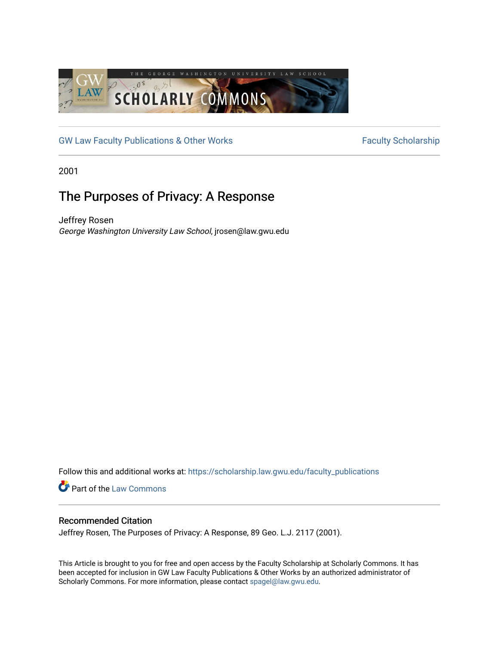

[GW Law Faculty Publications & Other Works](https://scholarship.law.gwu.edu/faculty_publications) Faculty Scholarship

2001

## The Purposes of Privacy: A Response

Jeffrey Rosen George Washington University Law School, jrosen@law.gwu.edu

Follow this and additional works at: [https://scholarship.law.gwu.edu/faculty\\_publications](https://scholarship.law.gwu.edu/faculty_publications?utm_source=scholarship.law.gwu.edu%2Ffaculty_publications%2F872&utm_medium=PDF&utm_campaign=PDFCoverPages) 

**Part of the [Law Commons](http://network.bepress.com/hgg/discipline/578?utm_source=scholarship.law.gwu.edu%2Ffaculty_publications%2F872&utm_medium=PDF&utm_campaign=PDFCoverPages)** 

## Recommended Citation

Jeffrey Rosen, The Purposes of Privacy: A Response, 89 Geo. L.J. 2117 (2001).

This Article is brought to you for free and open access by the Faculty Scholarship at Scholarly Commons. It has been accepted for inclusion in GW Law Faculty Publications & Other Works by an authorized administrator of Scholarly Commons. For more information, please contact [spagel@law.gwu.edu](mailto:spagel@law.gwu.edu).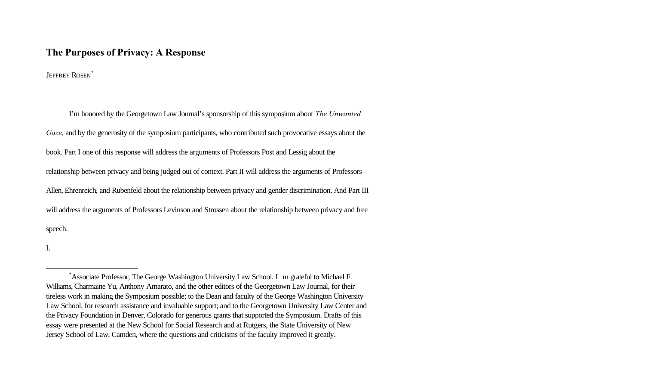## **The Purposes of Privacy: A Response**

JEFFREY ROSEN<sup>\*</sup>

I'm honored by the Georgetown Law Journal's sponsorship of this symposium about *The Unwanted Gaze*, and by the generosity of the symposium participants, who contributed such provocative essays about the book. Part I one of this response will address the arguments of Professors Post and Lessig about the relationship between privacy and being judged out of context. Part II will address the arguments of Professors Allen, Ehrenreich, and Rubenfeld about the relationship between privacy and gender discrimination. And Part III will address the arguments of Professors Levinson and Strossen about the relationship between privacy and free speech.

I.

<sup>\*</sup>Associate Professor, The George Washington University Law School. I m grateful to Michael F. Williams, Charmaine Yu, Anthony Amarato, and the other editors of the Georgetown Law Journal, for their tireless work in making the Symposium possible; to the Dean and faculty of the George Washington University Law School, for research assistance and invaluable support; and to the Georgetown University Law Center and the Privacy Foundation in Denver, Colorado for generous grants that supported the Symposium. Drafts of this essay were presented at the New School for Social Research and at Rutgers, the State University of New Jersey School of Law, Camden, where the questions and criticisms of the faculty improved it greatly.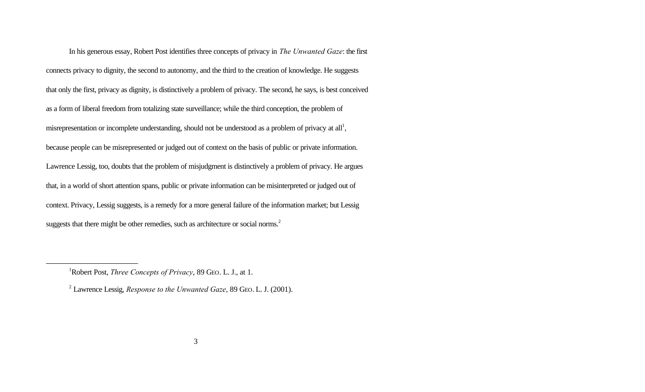In his generous essay, Robert Post identifies three concepts of privacy in *The Unwanted Gaze*: the first connects privacy to dignity, the second to autonomy, and the third to the creation of knowledge. He suggests that only the first, privacy as dignity, is distinctively a problem of privacy. The second, he says, is best conceived as a form of liberal freedom from totalizing state surveillance; while the third conception, the problem of misrepresentation or incomplete understanding, should not be understood as a problem of privacy at all<sup>1</sup>, because people can be misrepresented or judged out of context on the basis of public or private information. Lawrence Lessig, too, doubts that the problem of misjudgment is distinctively a problem of privacy. He argues that, in a world of short attention spans, public or private information can be misinterpreted or judged out of context. Privacy, Lessig suggests, is a remedy for a more general failure of the information market; but Lessig suggests that there might be other remedies, such as architecture or social norms.<sup>2</sup>

<sup>&</sup>lt;sup>1</sup>Robert Post, *Three Concepts of Privacy*, 89 GEO. L. J., at 1.

<sup>2</sup> Lawrence Lessig, *Response to the Unwanted Gaze*, 89 GEO. L. J. (2001).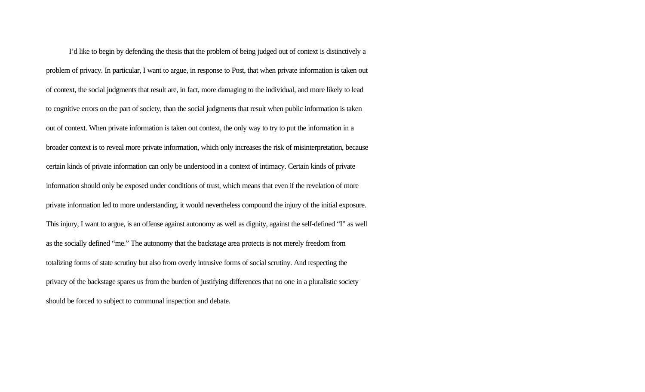I'd like to begin by defending the thesis that the problem of being judged out of context is distinctively a problem of privacy. In particular, I want to argue, in response to Post, that when private information is taken out of context, the social judgments that result are, in fact, more damaging to the individual, and more likely to lead to cognitive errors on the part of society, than the social judgments that result when public information is taken out of context. When private information is taken out context, the only way to try to put the information in a broader context is to reveal more private information, which only increases the risk of misinterpretation, because certain kinds of private information can only be understood in a context of intimacy. Certain kinds of private information should only be exposed under conditions of trust, which means that even if the revelation of more private information led to more understanding, it would nevertheless compound the injury of the initial exposure. This injury, I want to argue, is an offense against autonomy as well as dignity, against the self-defined "I" as well as the socially defined "me." The autonomy that the backstage area protects is not merely freedom from totalizing forms of state scrutiny but also from overly intrusive forms of social scrutiny. And respecting the privacy of the backstage spares us from the burden of justifying differences that no one in a pluralistic society should be forced to subject to communal inspection and debate.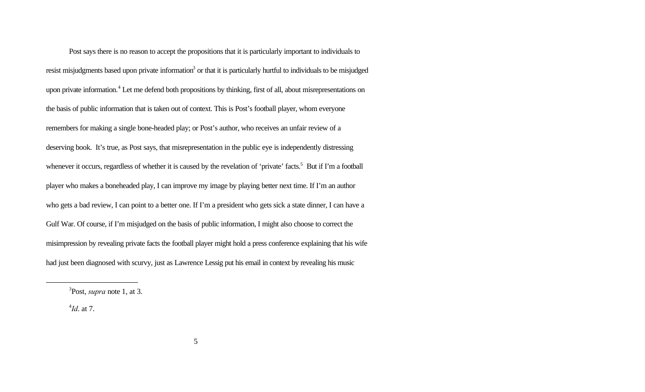Post says there is no reason to accept the propositions that it is particularly important to individuals to resist misjudgments based upon private information<sup>3</sup> or that it is particularly hurtful to individuals to be misjudged upon private information.<sup>4</sup> Let me defend both propositions by thinking, first of all, about misrepresentations on the basis of public information that is taken out of context. This is Post's football player, whom everyone remembers for making a single bone-headed play; or Post's author, who receives an unfair review of a deserving book. It's true, as Post says, that misrepresentation in the public eye is independently distressing whenever it occurs, regardless of whether it is caused by the revelation of 'private' facts.<sup>5</sup> But if I'm a football player who makes a boneheaded play, I can improve my image by playing better next time. If I'm an author who gets a bad review, I can point to a better one. If I'm a president who gets sick a state dinner, I can have a Gulf War. Of course, if I'm misjudged on the basis of public information, I might also choose to correct the misimpression by revealing private facts the football player might hold a press conference explaining that his wife had just been diagnosed with scurvy, just as Lawrence Lessig put his email in context by revealing his music

4 *Id*. at 7.

<sup>3</sup> Post, *supra* note 1, at 3.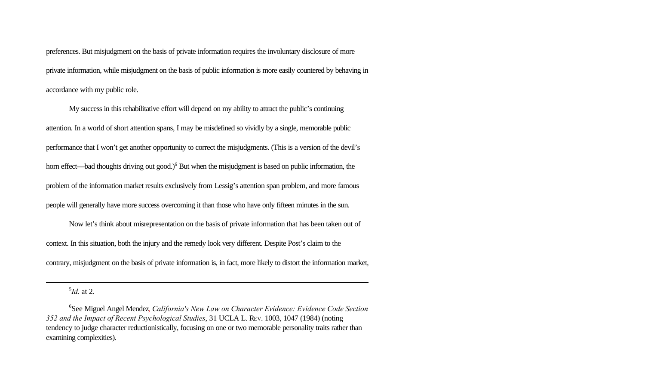preferences. But misjudgment on the basis of private information requires the involuntary disclosure of more private information, while misjudgment on the basis of public information is more easily countered by behaving in accordance with my public role.

My success in this rehabilitative effort will depend on my ability to attract the public's continuing attention. In a world of short attention spans, I may be misdefined so vividly by a single, memorable public performance that I won't get another opportunity to correct the misjudgments. (This is a version of the devil's horn effect—bad thoughts driving out good.)<sup>6</sup> But when the misjudgment is based on public information, the problem of the information market results exclusively from Lessig's attention span problem, and more famous people will generally have more success overcoming it than those who have only fifteen minutes in the sun.

Now let's think about misrepresentation on the basis of private information that has been taken out of context. In this situation, both the injury and the remedy look very different. Despite Post's claim to the contrary, misjudgment on the basis of private information is, in fact, more likely to distort the information market,

5 *Id*. at 2.

<sup>6</sup> See Miguel Angel Mendez, *California's New Law on Character Evidence: Evidence Code Section 352 and the Impact of Recent Psychological Studies*, 31 UCLA L. REV. 1003, 1047 (1984) (noting tendency to judge character reductionistically, focusing on one or two memorable personality traits rather than examining complexities).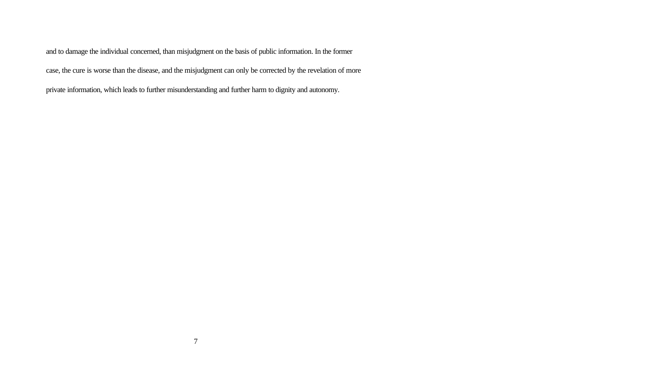and to damage the individual concerned, than misjudgment on the basis of public information. In the former case, the cure is worse than the disease, and the misjudgment can only be corrected by the revelation of more private information, which leads to further misunderstanding and further harm to dignity and autonomy.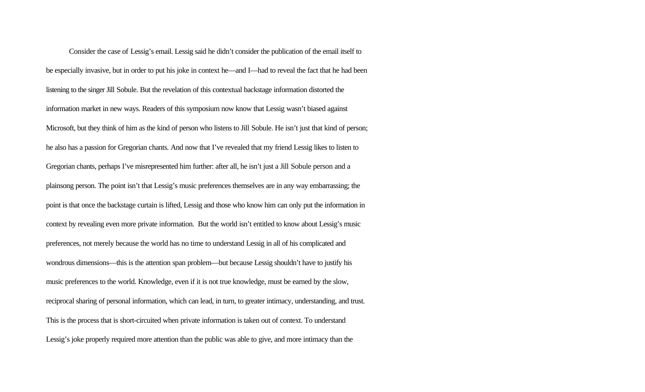Consider the case of Lessig's email. Lessig said he didn't consider the publication of the email itself to be especially invasive, but in order to put his joke in context he—and I—had to reveal the fact that he had been listening to the singer Jill Sobule. But the revelation of this contextual backstage information distorted the information market in new ways. Readers of this symposium now know that Lessig wasn't biased against Microsoft, but they think of him as the kind of person who listens to Jill Sobule. He isn't just that kind of person; he also has a passion for Gregorian chants. And now that I've revealed that my friend Lessig likes to listen to Gregorian chants, perhaps I've misrepresented him further: after all, he isn't just a Jill Sobule person and a plainsong person. The point isn't that Lessig's music preferences themselves are in any way embarrassing; the point is that once the backstage curtain is lifted, Lessig and those who know him can only put the information in context by revealing even more private information. But the world isn't entitled to know about Lessig's music preferences, not merely because the world has no time to understand Lessig in all of his complicated and wondrous dimensions—this is the attention span problem—but because Lessig shouldn't have to justify his music preferences to the world. Knowledge, even if it is not true knowledge, must be earned by the slow, reciprocal sharing of personal information, which can lead, in turn, to greater intimacy, understanding, and trust. This is the process that is short-circuited when private information is taken out of context. To understand Lessig's joke properly required more attention than the public was able to give, and more intimacy than the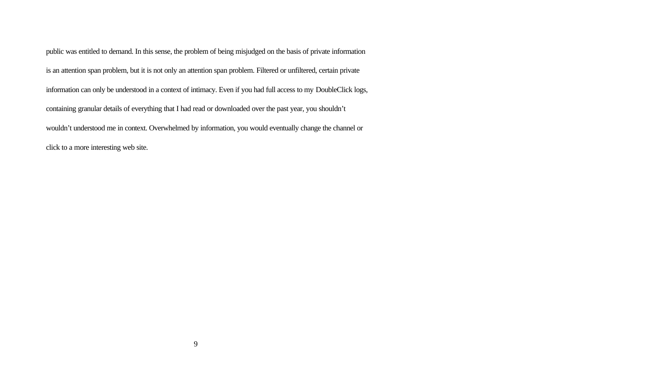public was entitled to demand. In this sense, the problem of being misjudged on the basis of private information is an attention span problem, but it is not only an attention span problem. Filtered or unfiltered, certain private information can only be understood in a context of intimacy. Even if you had full access to my DoubleClick logs, containing granular details of everything that I had read or downloaded over the past year, you shouldn't wouldn't understood me in context. Overwhelmed by information, you would eventually change the channel or click to a more interesting web site.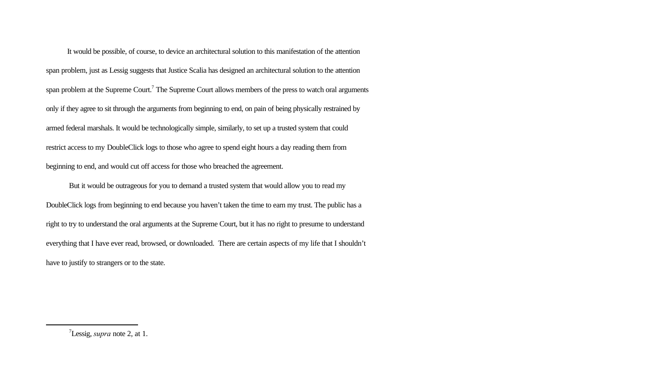It would be possible, of course, to device an architectural solution to this manifestation of the attention span problem, just as Lessig suggests that Justice Scalia has designed an architectural solution to the attention span problem at the Supreme Court.<sup>7</sup> The Supreme Court allows members of the press to watch oral arguments only if they agree to sit through the arguments from beginning to end, on pain of being physically restrained by armed federal marshals. It would be technologically simple, similarly, to set up a trusted system that could restrict access to my DoubleClick logs to those who agree to spend eight hours a day reading them from beginning to end, and would cut off access for those who breached the agreement.

But it would be outrageous for you to demand a trusted system that would allow you to read my DoubleClick logs from beginning to end because you haven't taken the time to earn my trust. The public has a right to try to understand the oral arguments at the Supreme Court, but it has no right to presume to understand everything that I have ever read, browsed, or downloaded. There are certain aspects of my life that I shouldn't have to justify to strangers or to the state.

<sup>7</sup>Lessig, *supra* note 2, at 1.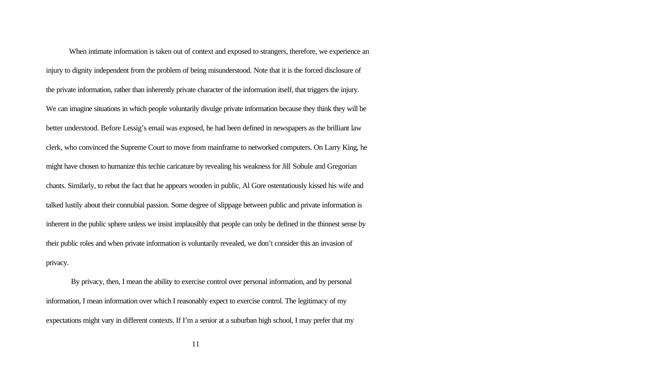When intimate information is taken out of context and exposed to strangers, therefore, we experience an injury to dignity independent from the problem of being misunderstood. Note that it is the forced disclosure of the private information, rather than inherently private character of the information itself, that triggers the injury. We can imagine situations in which people voluntarily divulge private information because they think they will be better understood. Before Lessig's email was exposed, he had been defined in newspapers as the brilliant law clerk, who convinced the Supreme Court to move from mainframe to networked computers. On Larry King, he might have chosen to humanize this techie caricature by revealing his weakness for Jill Sobule and Gregorian chants. Similarly, to rebut the fact that he appears wooden in public, Al Gore ostentatiously kissed his wife and talked lustily about their connubial passion. Some degree of slippage between public and private information is inherent in the public sphere unless we insist implausibly that people can only be defined in the thinnest sense by their public roles and when private information is voluntarily revealed, we don't consider this an invasion of privacy.

 By privacy, then, I mean the ability to exercise control over personal information, and by personal information, I mean information over which I reasonably expect to exercise control. The legitimacy of my expectations might vary in different contexts. If I'm a senior at a suburban high school, I may prefer that my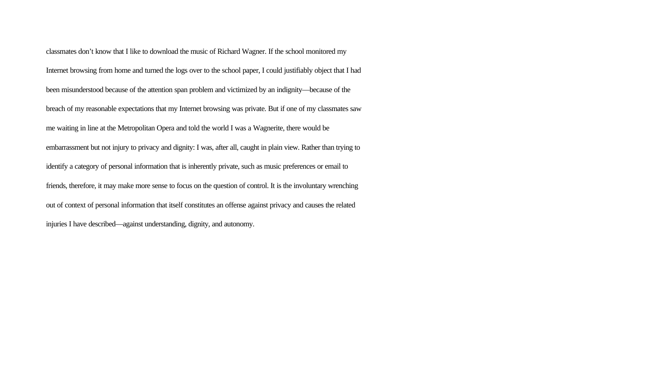classmates don't know that I like to download the music of Richard Wagner. If the school monitored my Internet browsing from home and turned the logs over to the school paper, I could justifiably object that I had been misunderstood because of the attention span problem and victimized by an indignity—because of the breach of my reasonable expectations that my Internet browsing was private. But if one of my classmates saw me waiting in line at the Metropolitan Opera and told the world I was a Wagnerite, there would be embarrassment but not injury to privacy and dignity: I was, after all, caught in plain view. Rather than trying to identify a category of personal information that is inherently private, such as music preferences or email to friends, therefore, it may make more sense to focus on the question of control. It is the involuntary wrenching out of context of personal information that itself constitutes an offense against privacy and causes the related injuries I have described—against understanding, dignity, and autonomy.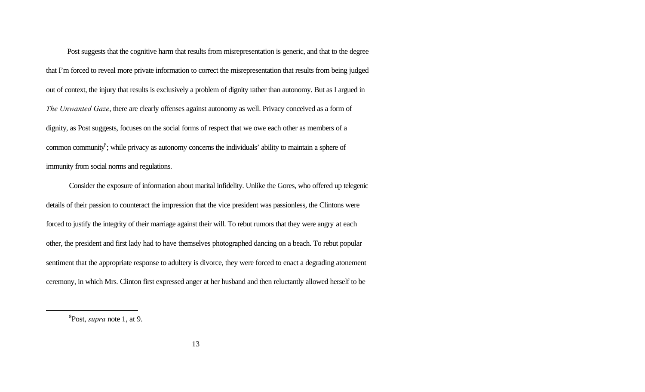Post suggests that the cognitive harm that results from misrepresentation is generic, and that to the degree that I'm forced to reveal more private information to correct the misrepresentation that results from being judged out of context, the injury that results is exclusively a problem of dignity rather than autonomy. But as I argued in *The Unwanted Gaze*, there are clearly offenses against autonomy as well. Privacy conceived as a form of dignity, as Post suggests, focuses on the social forms of respect that we owe each other as members of a common community<sup>8</sup>; while privacy as autonomy concerns the individuals' ability to maintain a sphere of immunity from social norms and regulations.

Consider the exposure of information about marital infidelity. Unlike the Gores, who offered up telegenic details of their passion to counteract the impression that the vice president was passionless, the Clintons were forced to justify the integrity of their marriage against their will. To rebut rumors that they were angry at each other, the president and first lady had to have themselves photographed dancing on a beach. To rebut popular sentiment that the appropriate response to adultery is divorce, they were forced to enact a degrading atonement ceremony, in which Mrs. Clinton first expressed anger at her husband and then reluctantly allowed herself to be

<sup>8</sup> Post, *supra* note 1, at 9.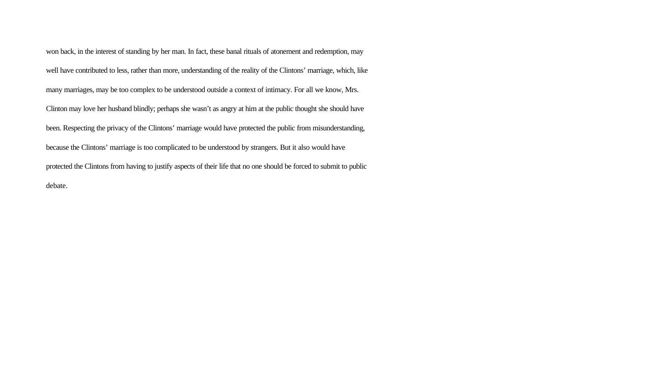won back, in the interest of standing by her man. In fact, these banal rituals of atonement and redemption, may well have contributed to less, rather than more, understanding of the reality of the Clintons' marriage, which, like many marriages, may be too complex to be understood outside a context of intimacy. For all we know, Mrs. Clinton may love her husband blindly; perhaps she wasn't as angry at him at the public thought she should have been. Respecting the privacy of the Clintons' marriage would have protected the public from misunderstanding, because the Clintons' marriage is too complicated to be understood by strangers. But it also would have protected the Clintons from having to justify aspects of their life that no one should be forced to submit to public debate.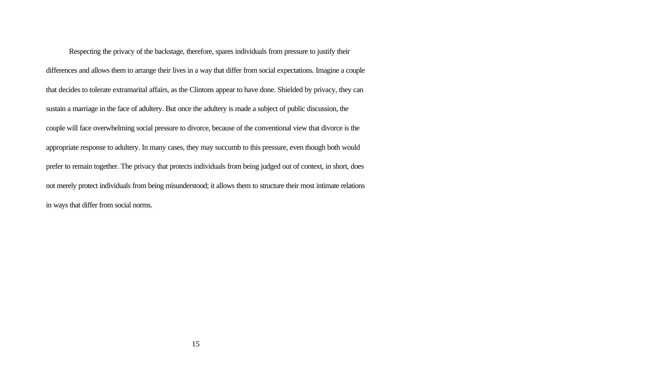Respecting the privacy of the backstage, therefore, spares individuals from pressure to justify their differences and allows them to arrange their lives in a way that differ from social expectations. Imagine a couple that decides to tolerate extramarital affairs, as the Clintons appear to have done. Shielded by privacy, they can sustain a marriage in the face of adultery. But once the adultery is made a subject of public discussion, the couple will face overwhelming social pressure to divorce, because of the conventional view that divorce is the appropriate response to adultery. In many cases, they may succumb to this pressure, even though both would prefer to remain together. The privacy that protects individuals from being judged out of context, in short, does not merely protect individuals from being misunderstood; it allows them to structure their most intimate relations in ways that differ from social norms.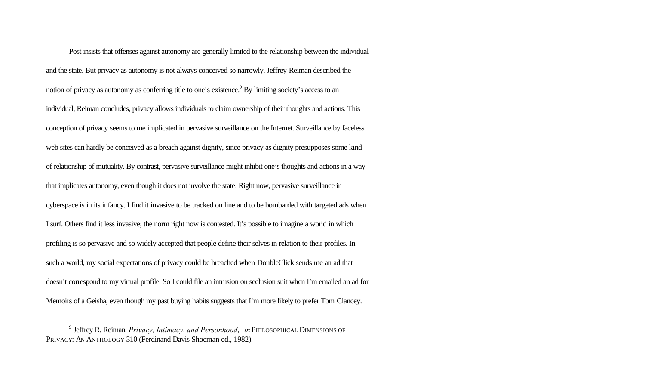Post insists that offenses against autonomy are generally limited to the relationship between the individual and the state. But privacy as autonomy is not always conceived so narrowly. Jeffrey Reiman described the notion of privacy as autonomy as conferring title to one's existence.<sup>9</sup> By limiting society's access to an individual, Reiman concludes, privacy allows individuals to claim ownership of their thoughts and actions. This conception of privacy seems to me implicated in pervasive surveillance on the Internet. Surveillance by faceless web sites can hardly be conceived as a breach against dignity, since privacy as dignity presupposes some kind of relationship of mutuality. By contrast, pervasive surveillance might inhibit one's thoughts and actions in a way that implicates autonomy, even though it does not involve the state. Right now, pervasive surveillance in cyberspace is in its infancy. I find it invasive to be tracked on line and to be bombarded with targeted ads when I surf. Others find it less invasive; the norm right now is contested. It's possible to imagine a world in which profiling is so pervasive and so widely accepted that people define their selves in relation to their profiles. In such a world, my social expectations of privacy could be breached when DoubleClick sends me an ad that doesn't correspond to my virtual profile. So I could file an intrusion on seclusion suit when I'm emailed an ad for Memoirs of a Geisha, even though my past buying habits suggests that I'm more likely to prefer Tom Clancey.

<sup>9</sup> Jeffrey R. Reiman, *Privacy, Intimacy, and Personhood*, *in* PHILOSOPHICAL DIMENSIONS OF PRIVACY: AN ANTHOLOGY 310 (Ferdinand Davis Shoeman ed., 1982).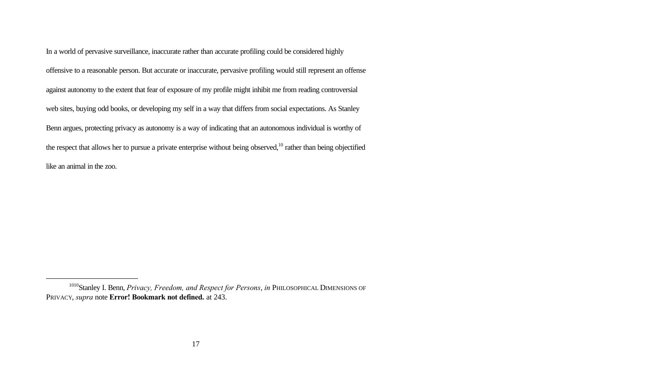In a world of pervasive surveillance, inaccurate rather than accurate profiling could be considered highly offensive to a reasonable person. But accurate or inaccurate, pervasive profiling would still represent an offense against autonomy to the extent that fear of exposure of my profile might inhibit me from reading controversial web sites, buying odd books, or developing my self in a way that differs from social expectations. As Stanley Benn argues, protecting privacy as autonomy is a way of indicating that an autonomous individual is worthy of the respect that allows her to pursue a private enterprise without being observed,<sup>10</sup> rather than being objectified like an animal in the zoo.

<sup>1010</sup>Stanley I. Benn, *Privacy, Freedom, and Respect for Persons*, *in* PHILOSOPHICAL DIMENSIONS OF PRIVACY, *supra* note **Error! Bookmark not defined.** at 243.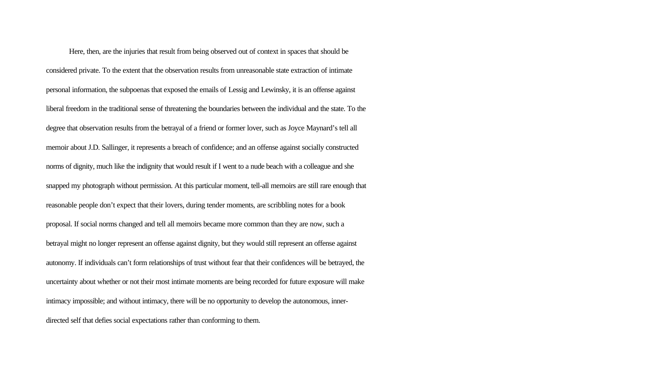Here, then, are the injuries that result from being observed out of context in spaces that should be considered private. To the extent that the observation results from unreasonable state extraction of intimate personal information, the subpoenas that exposed the emails of Lessig and Lewinsky, it is an offense against liberal freedom in the traditional sense of threatening the boundaries between the individual and the state. To the degree that observation results from the betrayal of a friend or former lover, such as Joyce Maynard's tell all memoir about J.D. Sallinger, it represents a breach of confidence; and an offense against socially constructed norms of dignity, much like the indignity that would result if I went to a nude beach with a colleague and she snapped my photograph without permission. At this particular moment, tell-all memoirs are still rare enough that reasonable people don't expect that their lovers, during tender moments, are scribbling notes for a book proposal. If social norms changed and tell all memoirs became more common than they are now, such a betrayal might no longer represent an offense against dignity, but they would still represent an offense against autonomy. If individuals can't form relationships of trust without fear that their confidences will be betrayed, the uncertainty about whether or not their most intimate moments are being recorded for future exposure will make intimacy impossible; and without intimacy, there will be no opportunity to develop the autonomous, innerdirected self that defies social expectations rather than conforming to them.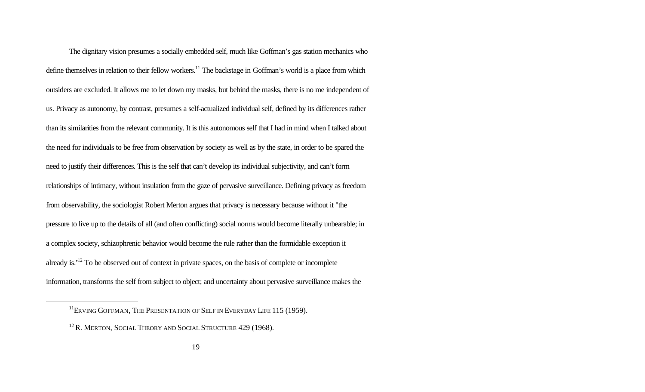The dignitary vision presumes a socially embedded self, much like Goffman's gas station mechanics who define themselves in relation to their fellow workers.<sup>11</sup> The backstage in Goffman's world is a place from which outsiders are excluded. It allows me to let down my masks, but behind the masks, there is no me independent of us. Privacy as autonomy, by contrast, presumes a self-actualized individual self, defined by its differences rather than its similarities from the relevant community. It is this autonomous self that I had in mind when I talked about the need for individuals to be free from observation by society as well as by the state, in order to be spared the need to justify their differences. This is the self that can't develop its individual subjectivity, and can't form relationships of intimacy, without insulation from the gaze of pervasive surveillance. Defining privacy as freedom from observability, the sociologist Robert Merton argues that privacy is necessary because without it "the pressure to live up to the details of all (and often conflicting) social norms would become literally unbearable; in a complex society, schizophrenic behavior would become the rule rather than the formidable exception it already is."<sup>12</sup> To be observed out of context in private spaces, on the basis of complete or incomplete information, transforms the self from subject to object; and uncertainty about pervasive surveillance makes the

<sup>&</sup>lt;sup>11</sup>ERVING GOFFMAN, THE PRESENTATION OF SELF IN EVERYDAY LIFE 115 (1959).

<sup>&</sup>lt;sup>12</sup> R. MERTON, SOCIAL THEORY AND SOCIAL STRUCTURE 429 (1968).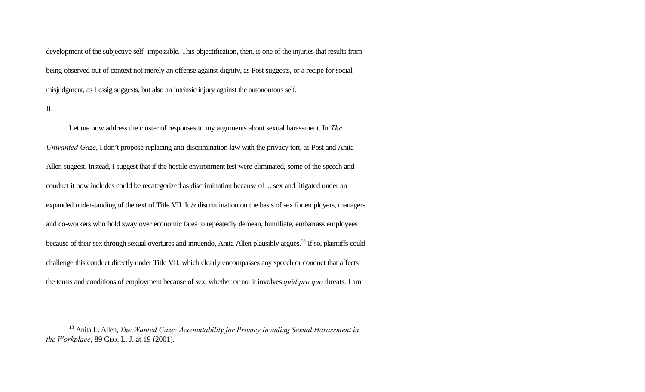development of the subjective self- impossible. This objectification, then, is one of the injuries that results from being observed out of context not merely an offense against dignity, as Post suggests, or a recipe for social misjudgment, as Lessig suggests, but also an intrinsic injury against the autonomous self.

II.

l

Let me now address the cluster of responses to my arguments about sexual harassment. In *The Unwanted Gaze*, I don't propose replacing anti-discrimination law with the privacy tort, as Post and Anita Allen suggest. Instead, I suggest that if the hostile environment test were eliminated, some of the speech and conduct it now includes could be recategorized as discrimination because of ... sex and litigated under an expanded understanding of the text of Title VII. It *is* discrimination on the basis of sex for employers, managers and co-workers who hold sway over economic fates to repeatedly demean, humiliate, embarrass employees because of their sex through sexual overtures and innuendo, Anita Allen plausibly argues.<sup>13</sup> If so, plaintiffs could challenge this conduct directly under Title VII, which clearly encompasses any speech or conduct that affects the terms and conditions of employment because of sex, whether or not it involves *quid pro quo* threats. I am

<sup>13</sup> Anita L. Allen, *The Wanted Gaze: Accountability for Privacy Invading Sexual Harassment in the Workplace*, 89 GEO. L. J. at 19 (2001).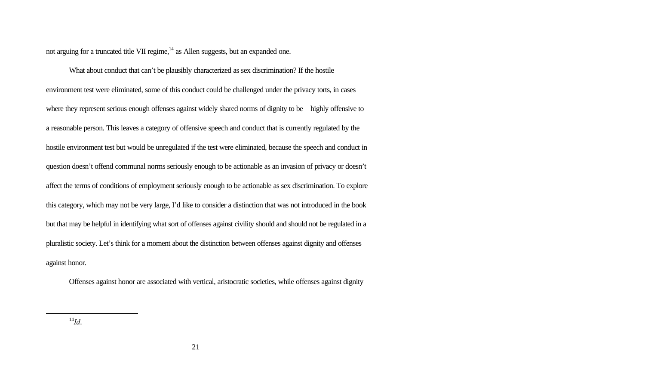not arguing for a truncated title VII regime,<sup>14</sup> as Allen suggests, but an expanded one.

What about conduct that can't be plausibly characterized as sex discrimination? If the hostile environment test were eliminated, some of this conduct could be challenged under the privacy torts, in cases where they represent serious enough offenses against widely shared norms of dignity to be highly offensive to a reasonable person. This leaves a category of offensive speech and conduct that is currently regulated by the hostile environment test but would be unregulated if the test were eliminated, because the speech and conduct in question doesn't offend communal norms seriously enough to be actionable as an invasion of privacy or doesn't affect the terms of conditions of employment seriously enough to be actionable as sex discrimination. To explore this category, which may not be very large, I'd like to consider a distinction that was not introduced in the book but that may be helpful in identifying what sort of offenses against civility should and should not be regulated in a pluralistic society. Let's think for a moment about the distinction between offenses against dignity and offenses against honor.

Offenses against honor are associated with vertical, aristocratic societies, while offenses against dignity

 $^{14}Id.$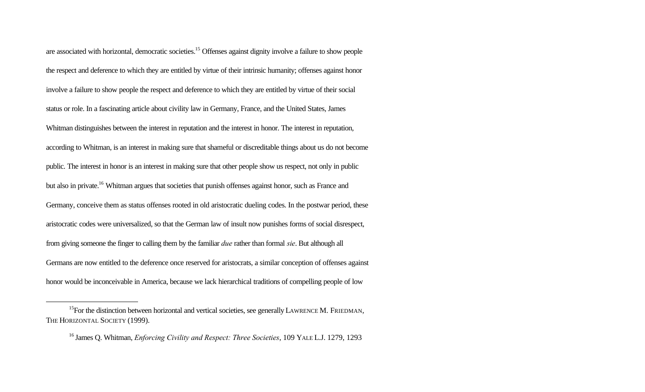are associated with horizontal, democratic societies.<sup>15</sup> Offenses against dignity involve a failure to show people the respect and deference to which they are entitled by virtue of their intrinsic humanity; offenses against honor involve a failure to show people the respect and deference to which they are entitled by virtue of their social status or role. In a fascinating article about civility law in Germany, France, and the United States, James Whitman distinguishes between the interest in reputation and the interest in honor. The interest in reputation, according to Whitman, is an interest in making sure that shameful or discreditable things about us do not become public. The interest in honor is an interest in making sure that other people show us respect, not only in public but also in private.<sup>16</sup> Whitman argues that societies that punish offenses against honor, such as France and Germany, conceive them as status offenses rooted in old aristocratic dueling codes. In the postwar period, these aristocratic codes were universalized, so that the German law of insult now punishes forms of social disrespect, from giving someone the finger to calling them by the familiar *due* rather than formal *sie*. But although all Germans are now entitled to the deference once reserved for aristocrats, a similar conception of offenses against honor would be inconceivable in America, because we lack hierarchical traditions of compelling people of low

<sup>&</sup>lt;sup>15</sup>For the distinction between horizontal and vertical societies, see generally LAWRENCE M. FRIEDMAN, THE HORIZONTAL SOCIETY (1999).

<sup>16</sup> James Q. Whitman, *Enforcing Civility and Respect: Three Societies*, 109 YALE L.J. 1279, 1293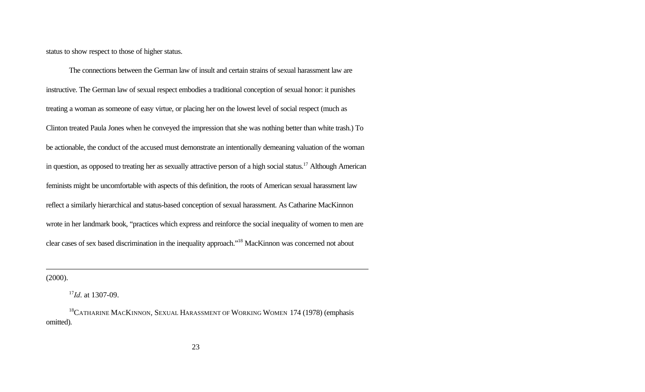status to show respect to those of higher status.

The connections between the German law of insult and certain strains of sexual harassment law are instructive. The German law of sexual respect embodies a traditional conception of sexual honor: it punishes treating a woman as someone of easy virtue, or placing her on the lowest level of social respect (much as Clinton treated Paula Jones when he conveyed the impression that she was nothing better than white trash.) To be actionable, the conduct of the accused must demonstrate an intentionally demeaning valuation of the woman in question, as opposed to treating her as sexually attractive person of a high social status.<sup>17</sup> Although American feminists might be uncomfortable with aspects of this definition, the roots of American sexual harassment law reflect a similarly hierarchical and status-based conception of sexual harassment. As Catharine MacKinnon wrote in her landmark book, "practices which express and reinforce the social inequality of women to men are clear cases of sex based discrimination in the inequality approach."<sup>18</sup> MacKinnon was concerned not about

(2000).

<sup>17</sup>*Id*. at 1307-09.

<sup>&</sup>lt;sup>18</sup>CATHARINE MACKINNON, SEXUAL HARASSMENT OF WORKING WOMEN 174 (1978) (emphasis omitted).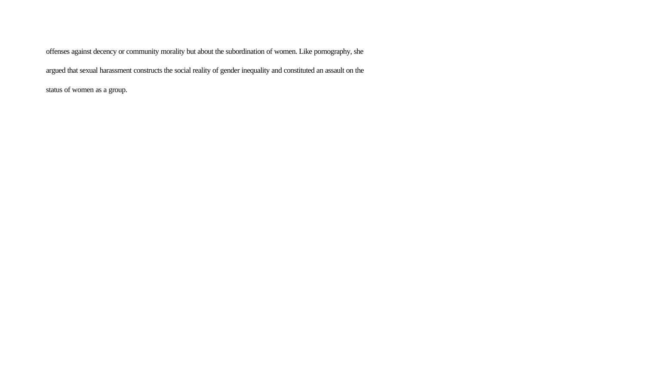offenses against decency or community morality but about the subordination of women. Like pornography, she argued that sexual harassment constructs the social reality of gender inequality and constituted an assault on the status of women as a group.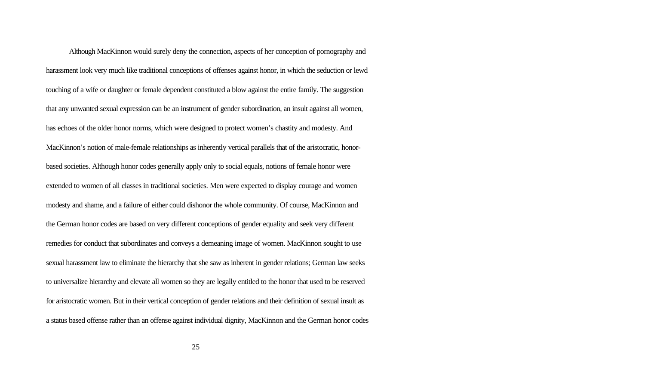Although MacKinnon would surely deny the connection, aspects of her conception of pornography and harassment look very much like traditional conceptions of offenses against honor, in which the seduction or lewd touching of a wife or daughter or female dependent constituted a blow against the entire family. The suggestion that any unwanted sexual expression can be an instrument of gender subordination, an insult against all women, has echoes of the older honor norms, which were designed to protect women's chastity and modesty. And MacKinnon's notion of male-female relationships as inherently vertical parallels that of the aristocratic, honorbased societies. Although honor codes generally apply only to social equals, notions of female honor were extended to women of all classes in traditional societies. Men were expected to display courage and women modesty and shame, and a failure of either could dishonor the whole community. Of course, MacKinnon and the German honor codes are based on very different conceptions of gender equality and seek very different remedies for conduct that subordinates and conveys a demeaning image of women. MacKinnon sought to use sexual harassment law to eliminate the hierarchy that she saw as inherent in gender relations; German law seeks to universalize hierarchy and elevate all women so they are legally entitled to the honor that used to be reserved for aristocratic women. But in their vertical conception of gender relations and their definition of sexual insult as a status based offense rather than an offense against individual dignity, MacKinnon and the German honor codes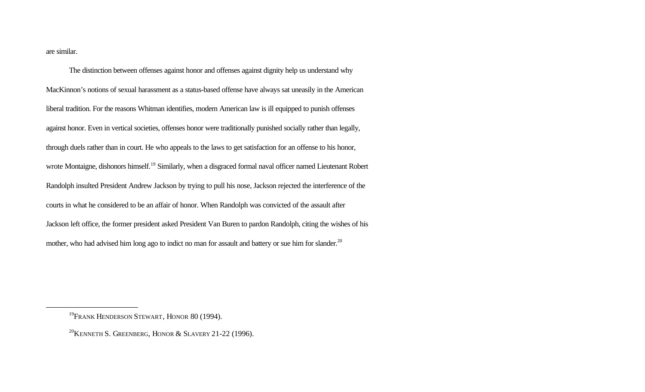are similar.

l

The distinction between offenses against honor and offenses against dignity help us understand why MacKinnon's notions of sexual harassment as a status-based offense have always sat uneasily in the American liberal tradition. For the reasons Whitman identifies, modern American law is ill equipped to punish offenses against honor. Even in vertical societies, offenses honor were traditionally punished socially rather than legally, through duels rather than in court. He who appeals to the laws to get satisfaction for an offense to his honor, wrote Montaigne, dishonors himself.<sup>19</sup> Similarly, when a disgraced formal naval officer named Lieutenant Robert Randolph insulted President Andrew Jackson by trying to pull his nose, Jackson rejected the interference of the courts in what he considered to be an affair of honor. When Randolph was convicted of the assault after Jackson left office, the former president asked President Van Buren to pardon Randolph, citing the wishes of his mother, who had advised him long ago to indict no man for assault and battery or sue him for slander.<sup>20</sup>

<sup>&</sup>lt;sup>19</sup>FRANK HENDERSON STEWART, HONOR 80 (1994).

<sup>&</sup>lt;sup>20</sup>KENNETH S. GREENBERG, HONOR & SLAVERY 21-22 (1996).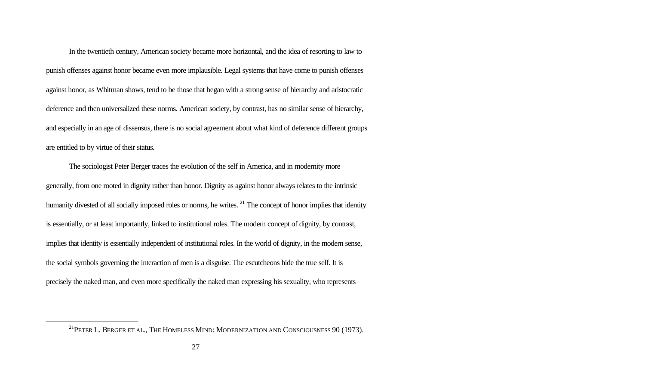In the twentieth century, American society became more horizontal, and the idea of resorting to law to punish offenses against honor became even more implausible. Legal systems that have come to punish offenses against honor, as Whitman shows, tend to be those that began with a strong sense of hierarchy and aristocratic deference and then universalized these norms. American society, by contrast, has no similar sense of hierarchy, and especially in an age of dissensus, there is no social agreement about what kind of deference different groups are entitled to by virtue of their status.

The sociologist Peter Berger traces the evolution of the self in America, and in modernity more generally, from one rooted in dignity rather than honor. Dignity as against honor always relates to the intrinsic humanity divested of all socially imposed roles or norms, he writes. <sup>21</sup> The concept of honor implies that identity is essentially, or at least importantly, linked to institutional roles. The modern concept of dignity, by contrast, implies that identity is essentially independent of institutional roles. In the world of dignity, in the modern sense, the social symbols governing the interaction of men is a disguise. The escutcheons hide the true self. It is precisely the naked man, and even more specifically the naked man expressing his sexuality, who represents

<sup>&</sup>lt;sup>21</sup>PETER L. BERGER ET AL., THE HOMELESS MIND: MODERNIZATION AND CONSCIOUSNESS 90 (1973).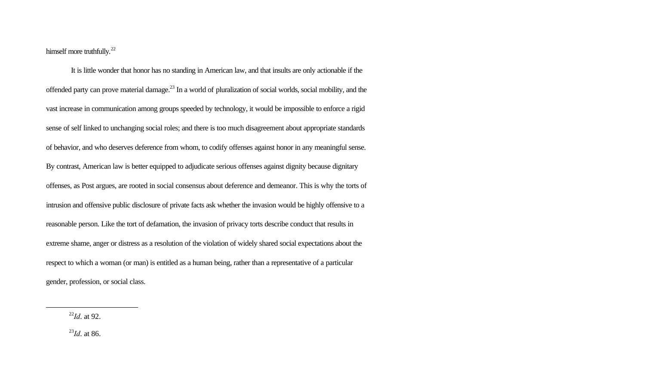himself more truthfully.<sup>22</sup>

 It is little wonder that honor has no standing in American law, and that insults are only actionable if the offended party can prove material damage.<sup>23</sup> In a world of pluralization of social worlds, social mobility, and the vast increase in communication among groups speeded by technology, it would be impossible to enforce a rigid sense of self linked to unchanging social roles; and there is too much disagreement about appropriate standards of behavior, and who deserves deference from whom, to codify offenses against honor in any meaningful sense. By contrast, American law is better equipped to adjudicate serious offenses against dignity because dignitary offenses, as Post argues, are rooted in social consensus about deference and demeanor. This is why the torts of intrusion and offensive public disclosure of private facts ask whether the invasion would be highly offensive to a reasonable person. Like the tort of defamation, the invasion of privacy torts describe conduct that results in extreme shame, anger or distress as a resolution of the violation of widely shared social expectations about the respect to which a woman (or man) is entitled as a human being, rather than a representative of a particular gender, profession, or social class.

<sup>22</sup>*Id*. at 92.

l

<sup>23</sup>*Id*. at 86.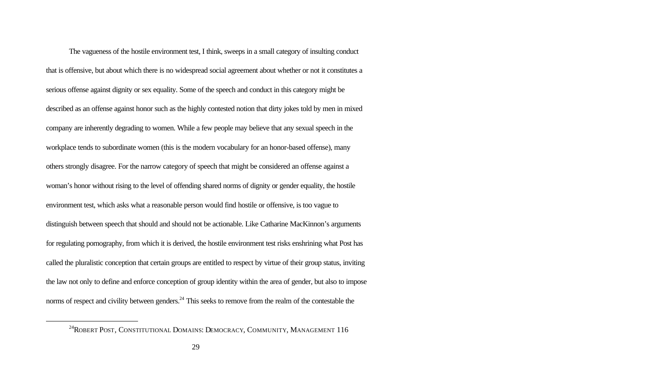The vagueness of the hostile environment test, I think, sweeps in a small category of insulting conduct that is offensive, but about which there is no widespread social agreement about whether or not it constitutes a serious offense against dignity or sex equality. Some of the speech and conduct in this category might be described as an offense against honor such as the highly contested notion that dirty jokes told by men in mixed company are inherently degrading to women. While a few people may believe that any sexual speech in the workplace tends to subordinate women (this is the modern vocabulary for an honor-based offense), many others strongly disagree. For the narrow category of speech that might be considered an offense against a woman's honor without rising to the level of offending shared norms of dignity or gender equality, the hostile environment test, which asks what a reasonable person would find hostile or offensive, is too vague to distinguish between speech that should and should not be actionable. Like Catharine MacKinnon's arguments for regulating pornography, from which it is derived, the hostile environment test risks enshrining what Post has called the pluralistic conception that certain groups are entitled to respect by virtue of their group status, inviting the law not only to define and enforce conception of group identity within the area of gender, but also to impose norms of respect and civility between genders.<sup>24</sup> This seeks to remove from the realm of the contestable the

<sup>&</sup>lt;sup>24</sup>ROBERT POST, CONSTITUTIONAL DOMAINS: DEMOCRACY, COMMUNITY, MANAGEMENT 116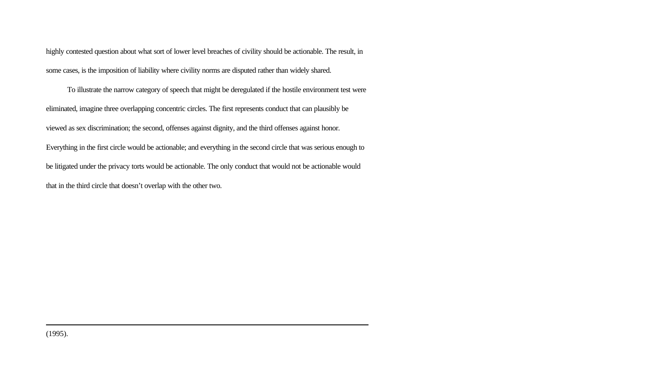highly contested question about what sort of lower level breaches of civility should be actionable. The result, in some cases, is the imposition of liability where civility norms are disputed rather than widely shared.

 To illustrate the narrow category of speech that might be deregulated if the hostile environment test were eliminated, imagine three overlapping concentric circles. The first represents conduct that can plausibly be viewed as sex discrimination; the second, offenses against dignity, and the third offenses against honor. Everything in the first circle would be actionable; and everything in the second circle that was serious enough to be litigated under the privacy torts would be actionable. The only conduct that would not be actionable would that in the third circle that doesn't overlap with the other two.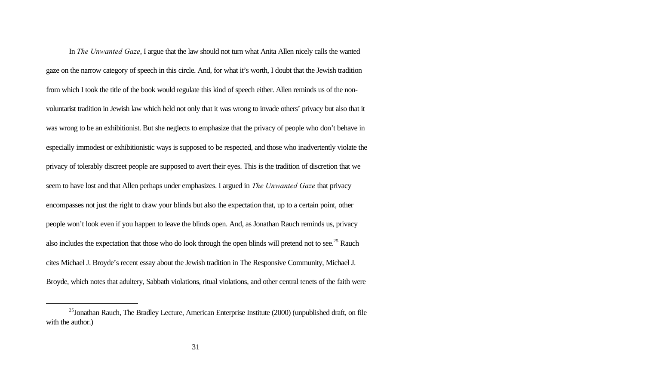In *The Unwanted Gaze*, I argue that the law should not turn what Anita Allen nicely calls the wanted gaze on the narrow category of speech in this circle. And, for what it's worth, I doubt that the Jewish tradition from which I took the title of the book would regulate this kind of speech either. Allen reminds us of the nonvoluntarist tradition in Jewish law which held not only that it was wrong to invade others' privacy but also that it was wrong to be an exhibitionist. But she neglects to emphasize that the privacy of people who don't behave in especially immodest or exhibitionistic ways is supposed to be respected, and those who inadvertently violate the privacy of tolerably discreet people are supposed to avert their eyes. This is the tradition of discretion that we seem to have lost and that Allen perhaps under emphasizes. I argued in *The Unwanted Gaze* that privacy encompasses not just the right to draw your blinds but also the expectation that, up to a certain point, other people won't look even if you happen to leave the blinds open. And, as Jonathan Rauch reminds us, privacy also includes the expectation that those who do look through the open blinds will pretend not to see.<sup>25</sup> Rauch cites Michael J. Broyde's recent essay about the Jewish tradition in The Responsive Community, Michael J. Broyde, which notes that adultery, Sabbath violations, ritual violations, and other central tenets of the faith were

<sup>&</sup>lt;sup>25</sup>Jonathan Rauch, The Bradley Lecture, American Enterprise Institute (2000) (unpublished draft, on file with the author.)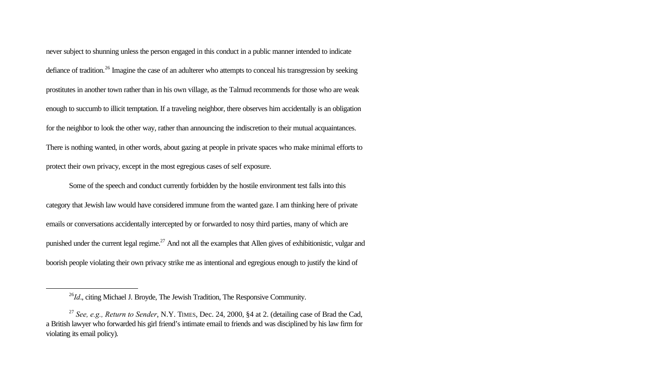never subject to shunning unless the person engaged in this conduct in a public manner intended to indicate defiance of tradition.<sup>26</sup> Imagine the case of an adulterer who attempts to conceal his transgression by seeking prostitutes in another town rather than in his own village, as the Talmud recommends for those who are weak enough to succumb to illicit temptation. If a traveling neighbor, there observes him accidentally is an obligation for the neighbor to look the other way, rather than announcing the indiscretion to their mutual acquaintances. There is nothing wanted, in other words, about gazing at people in private spaces who make minimal efforts to protect their own privacy, except in the most egregious cases of self exposure.

Some of the speech and conduct currently forbidden by the hostile environment test falls into this category that Jewish law would have considered immune from the wanted gaze. I am thinking here of private emails or conversations accidentally intercepted by or forwarded to nosy third parties, many of which are punished under the current legal regime.<sup>27</sup> And not all the examples that Allen gives of exhibitionistic, vulgar and boorish people violating their own privacy strike me as intentional and egregious enough to justify the kind of

<sup>&</sup>lt;sup>26</sup>*Id.*, citing Michael J. Broyde, The Jewish Tradition, The Responsive Community.

<sup>27</sup> *See, e.g., Return to Sender*, N.Y. TIMES, Dec. 24, 2000, §4 at 2. (detailing case of Brad the Cad, a British lawyer who forwarded his girl friend's intimate email to friends and was disciplined by his law firm for violating its email policy).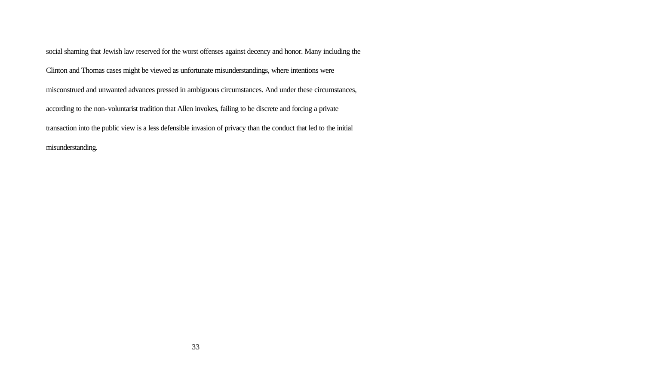social shaming that Jewish law reserved for the worst offenses against decency and honor. Many including the Clinton and Thomas cases might be viewed as unfortunate misunderstandings, where intentions were misconstrued and unwanted advances pressed in ambiguous circumstances. And under these circumstances, according to the non-voluntarist tradition that Allen invokes, failing to be discrete and forcing a private transaction into the public view is a less defensible invasion of privacy than the conduct that led to the initial misunderstanding.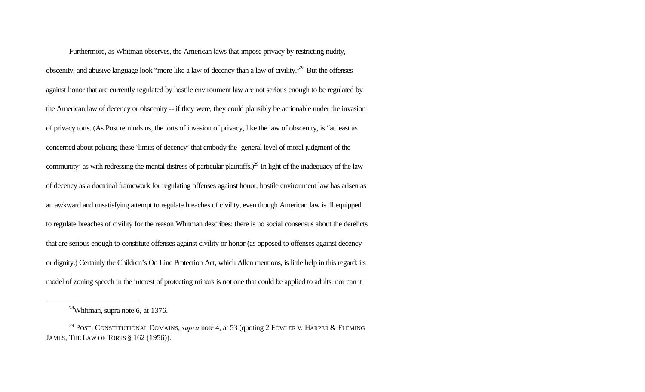Furthermore, as Whitman observes, the American laws that impose privacy by restricting nudity, obscenity, and abusive language look "more like a law of decency than a law of civility."<sup>28</sup> But the offenses against honor that are currently regulated by hostile environment law are not serious enough to be regulated by the American law of decency or obscenity -- if they were, they could plausibly be actionable under the invasion of privacy torts. (As Post reminds us, the torts of invasion of privacy, like the law of obscenity, is "at least as concerned about policing these 'limits of decency' that embody the 'general level of moral judgment of the community' as with redressing the mental distress of particular plaintiffs.)<sup>29</sup> In light of the inadequacy of the law of decency as a doctrinal framework for regulating offenses against honor, hostile environment law has arisen as an awkward and unsatisfying attempt to regulate breaches of civility, even though American law is ill equipped to regulate breaches of civility for the reason Whitman describes: there is no social consensus about the derelicts that are serious enough to constitute offenses against civility or honor (as opposed to offenses against decency or dignity.) Certainly the Children's On Line Protection Act, which Allen mentions, is little help in this regard: its model of zoning speech in the interest of protecting minors is not one that could be applied to adults; nor can it

 $28$ Whitman, supra note 6, at 1376.

<sup>&</sup>lt;sup>29</sup> POST, CONSTITUTIONAL DOMAINS, *supra* note 4, at 53 (quoting 2 FOWLER V. HARPER & FLEMING JAMES, THE LAW OF TORTS § 162 (1956)).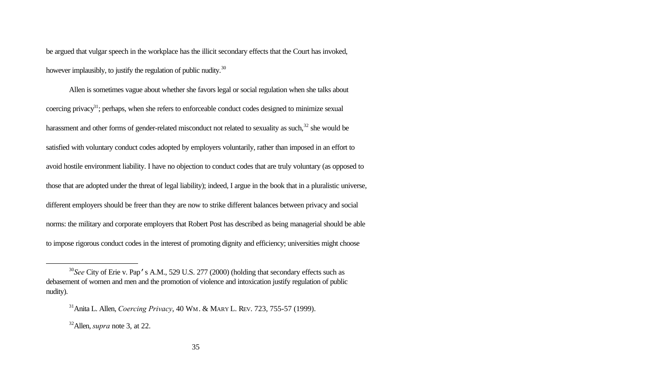be argued that vulgar speech in the workplace has the illicit secondary effects that the Court has invoked, however implausibly, to justify the regulation of public nudity.<sup>30</sup>

Allen is sometimes vague about whether she favors legal or social regulation when she talks about coercing privacy<sup>31</sup>; perhaps, when she refers to enforceable conduct codes designed to minimize sexual harassment and other forms of gender-related misconduct not related to sexuality as such,<sup>32</sup> she would be satisfied with voluntary conduct codes adopted by employers voluntarily, rather than imposed in an effort to avoid hostile environment liability. I have no objection to conduct codes that are truly voluntary (as opposed to those that are adopted under the threat of legal liability); indeed, I argue in the book that in a pluralistic universe, different employers should be freer than they are now to strike different balances between privacy and social norms: the military and corporate employers that Robert Post has described as being managerial should be able to impose rigorous conduct codes in the interest of promoting dignity and efficiency; universities might choose

<sup>&</sup>lt;sup>30</sup>See City of Erie v. Pap's A.M., 529 U.S. 277 (2000) (holding that secondary effects such as debasement of women and men and the promotion of violence and intoxication justify regulation of public nudity).

<sup>31</sup>Anita L. Allen, *Coercing Privacy*, 40 WM. & MARY L. REV. 723, 755-57 (1999).

<sup>32</sup>Allen, *supra* note 3, at 22.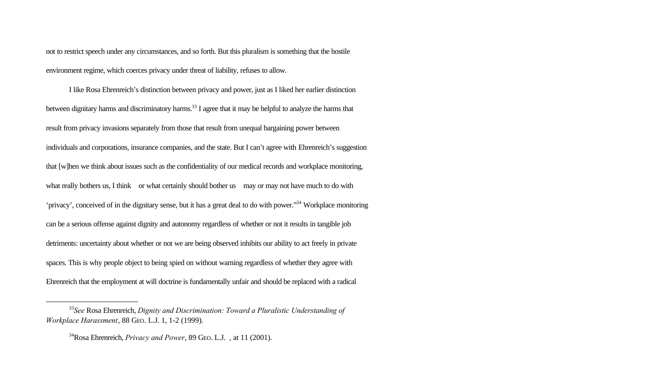not to restrict speech under any circumstances, and so forth. But this pluralism is something that the hostile environment regime, which coerces privacy under threat of liability, refuses to allow.

I like Rosa Ehrenreich's distinction between privacy and power, just as I liked her earlier distinction between dignitary harms and discriminatory harms.<sup>33</sup> I agree that it may be helpful to analyze the harms that result from privacy invasions separately from those that result from unequal bargaining power between individuals and corporations, insurance companies, and the state. But I can't agree with Ehrenreich's suggestion that [w]hen we think about issues such as the confidentiality of our medical records and workplace monitoring, what really bothers us, I think or what certainly should bother us may or may not have much to do with 'privacy', conceived of in the dignitary sense, but it has a great deal to do with power."<sup>34</sup> Workplace monitoring can be a serious offense against dignity and autonomy regardless of whether or not it results in tangible job detriments: uncertainty about whether or not we are being observed inhibits our ability to act freely in private spaces. This is why people object to being spied on without warning regardless of whether they agree with Ehrenreich that the employment at will doctrine is fundamentally unfair and should be replaced with a radical

<sup>33</sup>*See* Rosa Ehrenreich, *Dignity and Discrimination: Toward a Pluralistic Understanding of Workplace Harassment*, 88 GEO. L.J. 1, 1-2 (1999).

<sup>34</sup>Rosa Ehrenreich, *Privacy and Power*, 89 GEO. L.J. , at 11 (2001).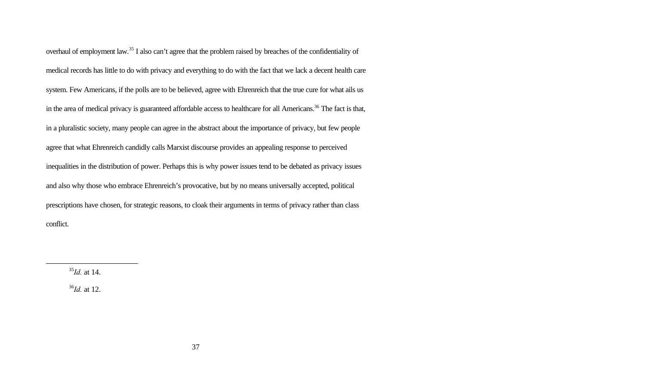overhaul of employment law.<sup>35</sup> I also can't agree that the problem raised by breaches of the confidentiality of medical records has little to do with privacy and everything to do with the fact that we lack a decent health care system. Few Americans, if the polls are to be believed, agree with Ehrenreich that the true cure for what ails us in the area of medical privacy is guaranteed affordable access to healthcare for all Americans.<sup>36</sup> The fact is that, in a pluralistic society, many people can agree in the abstract about the importance of privacy, but few people agree that what Ehrenreich candidly calls Marxist discourse provides an appealing response to perceived inequalities in the distribution of power. Perhaps this is why power issues tend to be debated as privacy issues and also why those who embrace Ehrenreich's provocative, but by no means universally accepted, political prescriptions have chosen, for strategic reasons, to cloak their arguments in terms of privacy rather than class conflict.

<sup>35</sup>*Id.* at 14.

l

<sup>36</sup>*Id.* at 12.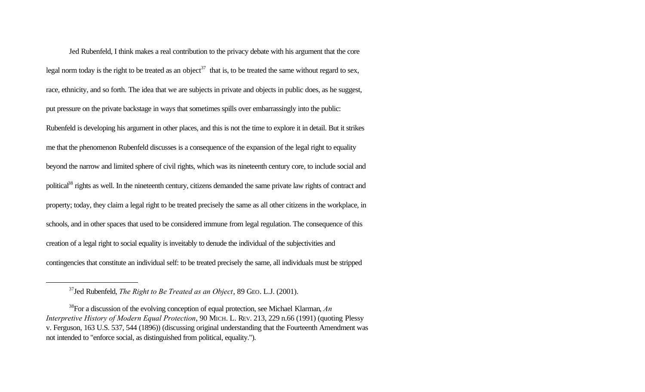Jed Rubenfeld, I think makes a real contribution to the privacy debate with his argument that the core legal norm today is the right to be treated as an object<sup>37</sup> that is, to be treated the same without regard to sex, race, ethnicity, and so forth. The idea that we are subjects in private and objects in public does, as he suggest, put pressure on the private backstage in ways that sometimes spills over embarrassingly into the public: Rubenfeld is developing his argument in other places, and this is not the time to explore it in detail. But it strikes me that the phenomenon Rubenfeld discusses is a consequence of the expansion of the legal right to equality beyond the narrow and limited sphere of civil rights, which was its nineteenth century core, to include social and political<sup>38</sup> rights as well. In the nineteenth century, citizens demanded the same private law rights of contract and property; today, they claim a legal right to be treated precisely the same as all other citizens in the workplace, in schools, and in other spaces that used to be considered immune from legal regulation. The consequence of this creation of a legal right to social equality is inveitably to denude the individual of the subjectivities and contingencies that constitute an individual self: to be treated precisely the same, all individuals must be stripped

<sup>37</sup>Jed Rubenfeld, *The Right to Be Treated as an Object*, 89 GEO. L.J. (2001).

<sup>38</sup>For a discussion of the evolving conception of equal protection, see Michael Klarman, *An Interpretive History of Modern Equal Protection*, 90 MICH. L. REV. 213, 229 n.66 (1991) (quoting Plessy v. Ferguson, 163 U.S. 537, 544 (1896)) (discussing original understanding that the Fourteenth Amendment was not intended to "enforce social, as distinguished from political, equality.").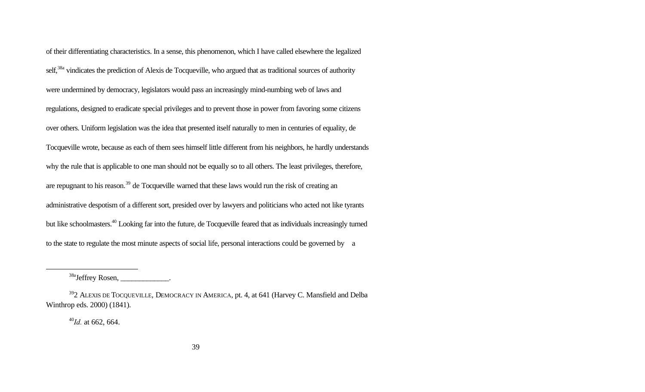of their differentiating characteristics. In a sense, this phenomenon, which I have called elsewhere the legalized self,<sup>38a</sup> vindicates the prediction of Alexis de Tocqueville, who argued that as traditional sources of authority were undermined by democracy, legislators would pass an increasingly mind-numbing web of laws and regulations, designed to eradicate special privileges and to prevent those in power from favoring some citizens over others. Uniform legislation was the idea that presented itself naturally to men in centuries of equality, de Tocqueville wrote, because as each of them sees himself little different from his neighbors, he hardly understands why the rule that is applicable to one man should not be equally so to all others. The least privileges, therefore, are repugnant to his reason.<sup>39</sup> de Tocqueville warned that these laws would run the risk of creating an administrative despotism of a different sort, presided over by lawyers and politicians who acted not like tyrants but like schoolmasters.<sup>40</sup> Looking far into the future, de Tocqueville feared that as individuals increasingly turned to the state to regulate the most minute aspects of social life, personal interactions could be governed by a

<sup>38a</sup>Jeffrey Rosen, \_\_\_\_\_\_\_\_\_\_\_\_\_.

<sup>40</sup>*Id.* at 662, 664.

 $392$  ALEXIS DE TOCQUEVILLE, DEMOCRACY IN AMERICA, pt. 4, at 641 (Harvey C. Mansfield and Delba Winthrop eds. 2000) (1841).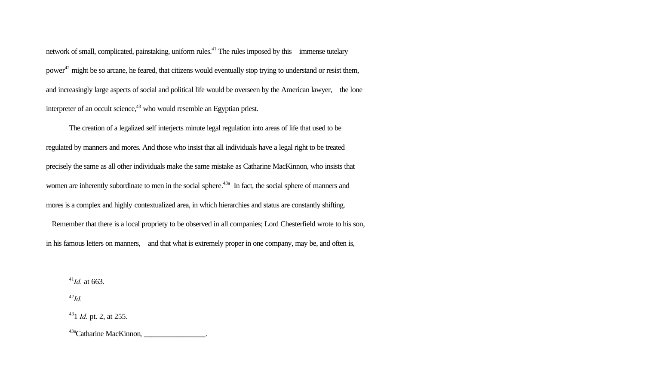network of small, complicated, painstaking, uniform rules.<sup>41</sup> The rules imposed by this immense tutelary power<sup>42</sup> might be so arcane, he feared, that citizens would eventually stop trying to understand or resist them, and increasingly large aspects of social and political life would be overseen by the American lawyer, the lone interpreter of an occult science, $43$  who would resemble an Egyptian priest.

The creation of a legalized self interjects minute legal regulation into areas of life that used to be regulated by manners and mores. And those who insist that all individuals have a legal right to be treated precisely the same as all other individuals make the same mistake as Catharine MacKinnon, who insists that women are inherently subordinate to men in the social sphere.<sup>43a</sup> In fact, the social sphere of manners and mores is a complex and highly contextualized area, in which hierarchies and status are constantly shifting.

Remember that there is a local propriety to be observed in all companies; Lord Chesterfield wrote to his son, in his famous letters on manners, and that what is extremely proper in one company, may be, and often is,

<sup>41</sup>*Id.* at 663.

<sup>42</sup>*Id.*

l

 $^{43a}$ Catharine MacKinnon,

<sup>43</sup>1 *Id.* pt. 2, at 255.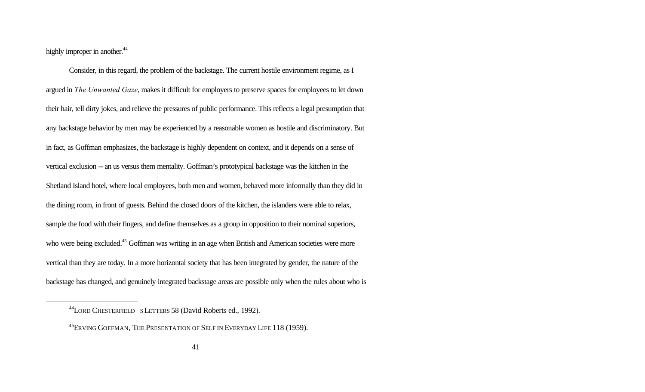highly improper in another.<sup>44</sup>

l

Consider, in this regard, the problem of the backstage. The current hostile environment regime, as I argued in *The Unwanted Gaze*, makes it difficult for employers to preserve spaces for employees to let down their hair, tell dirty jokes, and relieve the pressures of public performance. This reflects a legal presumption that any backstage behavior by men may be experienced by a reasonable women as hostile and discriminatory. But in fact, as Goffman emphasizes, the backstage is highly dependent on context, and it depends on a sense of vertical exclusion -- an us versus them mentality. Goffman's prototypical backstage was the kitchen in the Shetland Island hotel, where local employees, both men and women, behaved more informally than they did in the dining room, in front of guests. Behind the closed doors of the kitchen, the islanders were able to relax, sample the food with their fingers, and define themselves as a group in opposition to their nominal superiors, who were being excluded.<sup>45</sup> Goffman was writing in an age when British and American societies were more vertical than they are today. In a more horizontal society that has been integrated by gender, the nature of the backstage has changed, and genuinely integrated backstage areas are possible only when the rules about who is

<sup>44</sup>LORD CHESTERFIELD <sup>S</sup>LETTERS 58 (David Roberts ed., 1992).

<sup>&</sup>lt;sup>45</sup>ERVING GOFFMAN, THE PRESENTATION OF SELF IN EVERYDAY LIFE 118 (1959).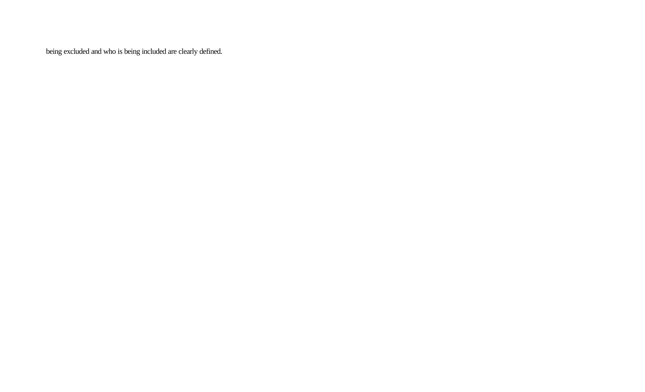being excluded and who is being included are clearly defined.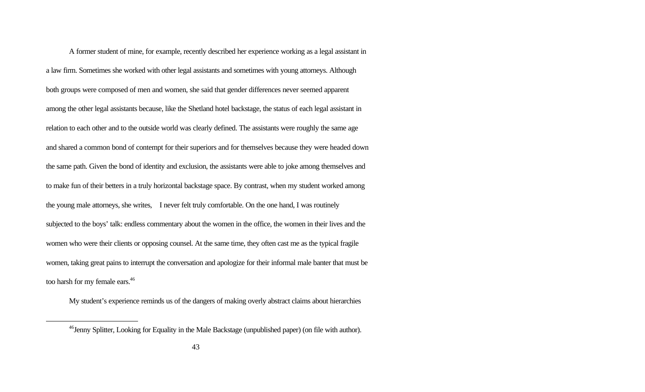A former student of mine, for example, recently described her experience working as a legal assistant in a law firm. Sometimes she worked with other legal assistants and sometimes with young attorneys. Although both groups were composed of men and women, she said that gender differences never seemed apparent among the other legal assistants because, like the Shetland hotel backstage, the status of each legal assistant in relation to each other and to the outside world was clearly defined. The assistants were roughly the same age and shared a common bond of contempt for their superiors and for themselves because they were headed down the same path. Given the bond of identity and exclusion, the assistants were able to joke among themselves and to make fun of their betters in a truly horizontal backstage space. By contrast, when my student worked among the young male attorneys, she writes, I never felt truly comfortable. On the one hand, I was routinely subjected to the boys' talk: endless commentary about the women in the office, the women in their lives and the women who were their clients or opposing counsel. At the same time, they often cast me as the typical fragile women, taking great pains to interrupt the conversation and apologize for their informal male banter that must be too harsh for my female ears.<sup>46</sup>

My student's experience reminds us of the dangers of making overly abstract claims about hierarchies

<sup>&</sup>lt;sup>46</sup>Jenny Splitter, Looking for Equality in the Male Backstage (unpublished paper) (on file with author).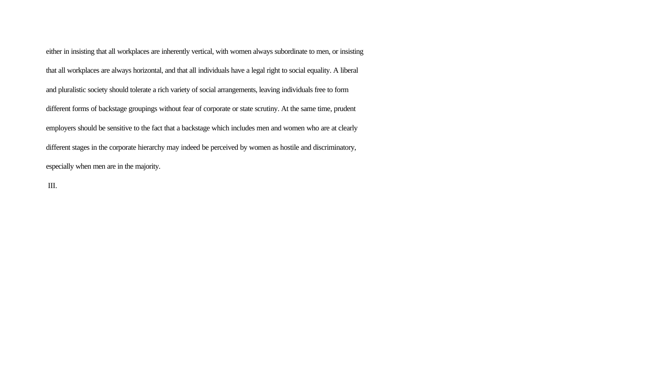either in insisting that all workplaces are inherently vertical, with women always subordinate to men, or insisting that all workplaces are always horizontal, and that all individuals have a legal right to social equality. A liberal and pluralistic society should tolerate a rich variety of social arrangements, leaving individuals free to form different forms of backstage groupings without fear of corporate or state scrutiny. At the same time, prudent employers should be sensitive to the fact that a backstage which includes men and women who are at clearly different stages in the corporate hierarchy may indeed be perceived by women as hostile and discriminatory, especially when men are in the majority.

III.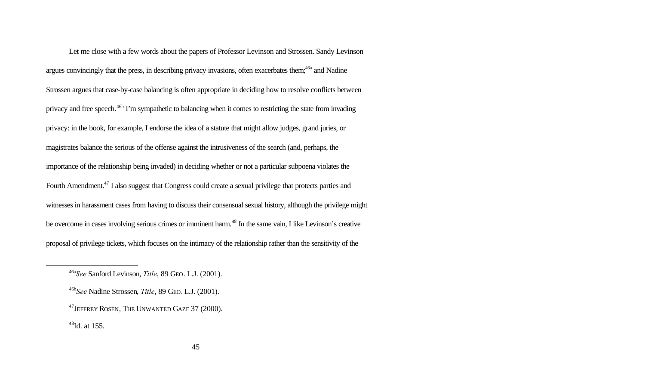Let me close with a few words about the papers of Professor Levinson and Strossen. Sandy Levinson argues convincingly that the press, in describing privacy invasions, often exacerbates them;<sup>46a</sup> and Nadine Strossen argues that case-by-case balancing is often appropriate in deciding how to resolve conflicts between privacy and free speech.<sup>46b</sup> I'm sympathetic to balancing when it comes to restricting the state from invading privacy: in the book, for example, I endorse the idea of a statute that might allow judges, grand juries, or magistrates balance the serious of the offense against the intrusiveness of the search (and, perhaps, the importance of the relationship being invaded) in deciding whether or not a particular subpoena violates the Fourth Amendment.<sup>47</sup> I also suggest that Congress could create a sexual privilege that protects parties and witnesses in harassment cases from having to discuss their consensual sexual history, although the privilege might be overcome in cases involving serious crimes or imminent harm.<sup>48</sup> In the same vain, I like Levinson's creative proposal of privilege tickets, which focuses on the intimacy of the relationship rather than the sensitivity of the

<sup>46</sup>a*See* Sanford Levinson, *Title*, 89 GEO. L.J. (2001).

<sup>46</sup>b*See* Nadine Strossen, *Title*, 89 GEO. L.J. (2001).

<sup>&</sup>lt;sup>47</sup> JEFFREY ROSEN, THE UNWANTED GAZE 37 (2000).

 $48$ Id. at 155.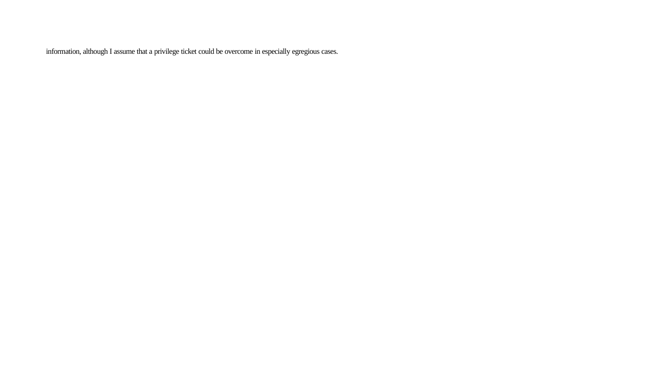information, although I assume that a privilege ticket could be overcome in especially egregious cases.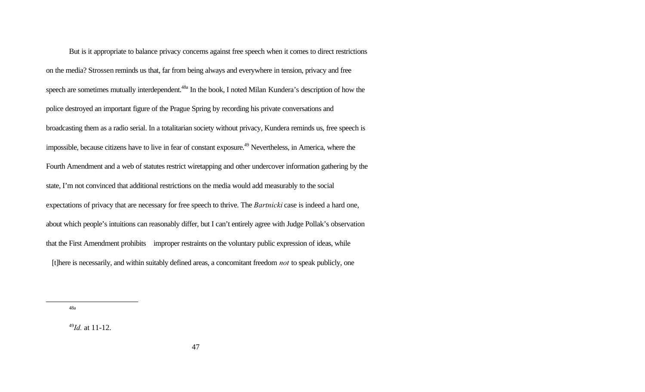But is it appropriate to balance privacy concerns against free speech when it comes to direct restrictions on the media? Strossen reminds us that, far from being always and everywhere in tension, privacy and free speech are sometimes mutually interdependent.<sup>48a</sup> In the book, I noted Milan Kundera's description of how the police destroyed an important figure of the Prague Spring by recording his private conversations and broadcasting them as a radio serial. In a totalitarian society without privacy, Kundera reminds us, free speech is impossible, because citizens have to live in fear of constant exposure.<sup>49</sup> Nevertheless, in America, where the Fourth Amendment and a web of statutes restrict wiretapping and other undercover information gathering by the state, I'm not convinced that additional restrictions on the media would add measurably to the social expectations of privacy that are necessary for free speech to thrive. The *Bartnicki* case is indeed a hard one, about which people's intuitions can reasonably differ, but I can't entirely agree with Judge Pollak's observation that the First Amendment prohibits improper restraints on the voluntary public expression of ideas, while [t]here is necessarily, and within suitably defined areas, a concomitant freedom *not* to speak publicly, one

48a

<sup>49</sup>*Id.* at 11-12.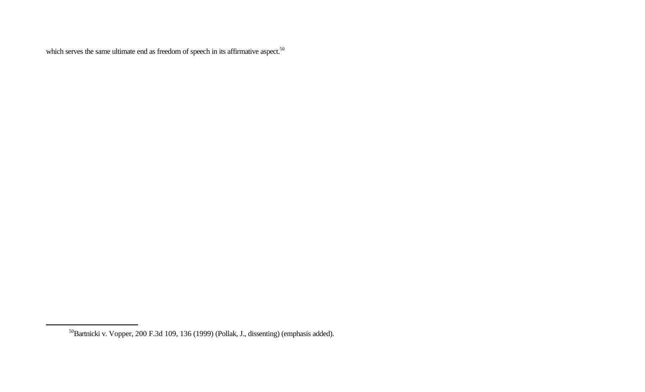which serves the same ultimate end as freedom of speech in its affirmative aspect.<sup>50</sup>

<sup>50</sup>Bartnicki v. Vopper, 200 F.3d 109, 136 (1999) (Pollak, J., dissenting) (emphasis added).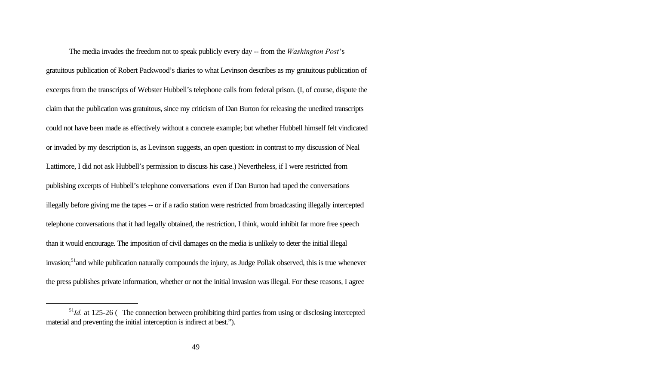The media invades the freedom not to speak publicly every day -- from the *Washington Post*'s gratuitous publication of Robert Packwood's diaries to what Levinson describes as my gratuitous publication of excerpts from the transcripts of Webster Hubbell's telephone calls from federal prison. (I, of course, dispute the claim that the publication was gratuitous, since my criticism of Dan Burton for releasing the unedited transcripts could not have been made as effectively without a concrete example; but whether Hubbell himself felt vindicated or invaded by my description is, as Levinson suggests, an open question: in contrast to my discussion of Neal Lattimore, I did not ask Hubbell's permission to discuss his case.) Nevertheless, if I were restricted from publishing excerpts of Hubbell's telephone conversations even if Dan Burton had taped the conversations illegally before giving me the tapes -- or if a radio station were restricted from broadcasting illegally intercepted telephone conversations that it had legally obtained, the restriction, I think, would inhibit far more free speech than it would encourage. The imposition of civil damages on the media is unlikely to deter the initial illegal invasion;<sup>51</sup> and while publication naturally compounds the injury, as Judge Pollak observed, this is true whenever the press publishes private information, whether or not the initial invasion was illegal. For these reasons, I agree

<sup>&</sup>lt;sup>51</sup>Id. at 125-26 (The connection between prohibiting third parties from using or disclosing intercepted material and preventing the initial interception is indirect at best.").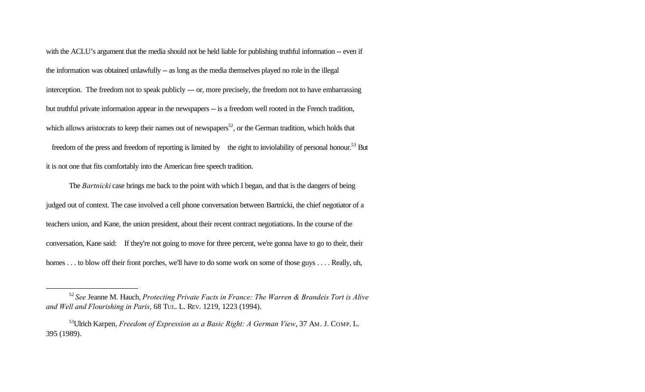with the ACLU's argument that the media should not be held liable for publishing truthful information -- even if the information was obtained unlawfully -- as long as the media themselves played no role in the illegal interception. The freedom not to speak publicly --- or, more precisely, the freedom not to have embarrassing but truthful private information appear in the newspapers -- is a freedom well rooted in the French tradition, which allows aristocrats to keep their names out of newspapers<sup>52</sup>, or the German tradition, which holds that freedom of the press and freedom of reporting is limited by the right to inviolability of personal honour.<sup>53</sup> But it is not one that fits comfortably into the American free speech tradition.

The *Bartnicki* case brings me back to the point with which I began, and that is the dangers of being judged out of context. The case involved a cell phone conversation between Bartnicki, the chief negotiator of a teachers union, and Kane, the union president, about their recent contract negotiations. In the course of the conversation, Kane said: If they're not going to move for three percent, we're gonna have to go to their, their homes . . . to blow off their front porches, we'll have to do some work on some of those guys . . . . Really, uh,

<sup>52</sup> *See* Jeanne M. Hauch, *Protecting Private Facts in France: The Warren & Brandeis Tort is Alive and Well and Flourishing in Paris*, 68 TUL. L. REV. 1219, 1223 (1994).

<sup>53</sup>Ulrich Karpen, *Freedom of Expression as a Basic Right: A German View*, 37 AM. J. COMP. L. 395 (1989).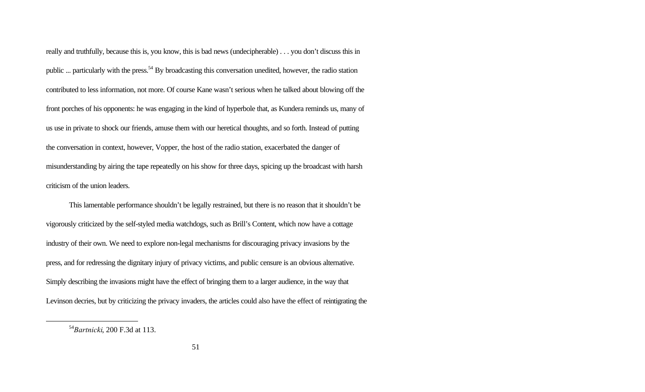really and truthfully, because this is, you know, this is bad news (undecipherable) . . . you don't discuss this in public ... particularly with the press.<sup>54</sup> By broadcasting this conversation unedited, however, the radio station contributed to less information, not more. Of course Kane wasn't serious when he talked about blowing off the front porches of his opponents: he was engaging in the kind of hyperbole that, as Kundera reminds us, many of us use in private to shock our friends, amuse them with our heretical thoughts, and so forth. Instead of putting the conversation in context, however, Vopper, the host of the radio station, exacerbated the danger of misunderstanding by airing the tape repeatedly on his show for three days, spicing up the broadcast with harsh criticism of the union leaders.

This lamentable performance shouldn't be legally restrained, but there is no reason that it shouldn't be vigorously criticized by the self-styled media watchdogs, such as Brill's Content, which now have a cottage industry of their own. We need to explore non-legal mechanisms for discouraging privacy invasions by the press, and for redressing the dignitary injury of privacy victims, and public censure is an obvious alternative. Simply describing the invasions might have the effect of bringing them to a larger audience, in the way that Levinson decries, but by criticizing the privacy invaders, the articles could also have the effect of reintigrating the

<sup>54</sup>*Bartnicki*, 200 F.3d at 113.